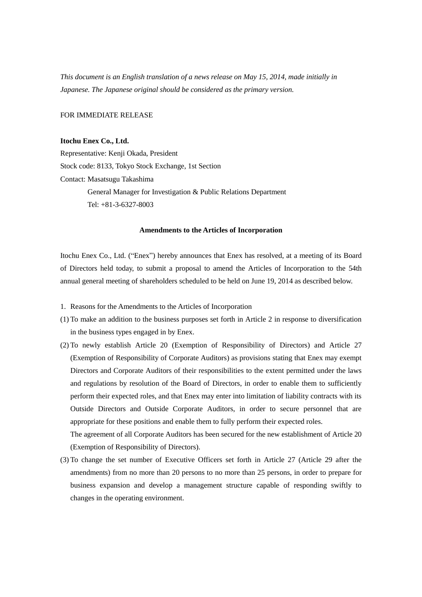*This document is an English translation of a news release on May 15, 2014, made initially in Japanese. The Japanese original should be considered as the primary version.*

FOR IMMEDIATE RELEASE

## **Itochu Enex Co., Ltd.**

Representative: Kenji Okada, President Stock code: 8133, Tokyo Stock Exchange, 1st Section Contact: Masatsugu Takashima General Manager for Investigation & Public Relations Department Tel: +81-3-6327-8003

## **Amendments to the Articles of Incorporation**

Itochu Enex Co., Ltd. ("Enex") hereby announces that Enex has resolved, at a meeting of its Board of Directors held today, to submit a proposal to amend the Articles of Incorporation to the 54th annual general meeting of shareholders scheduled to be held on June 19, 2014 as described below.

- 1. Reasons for the Amendments to the Articles of Incorporation
- (1) To make an addition to the business purposes set forth in Article 2 in response to diversification in the business types engaged in by Enex.
- (2) To newly establish Article 20 (Exemption of Responsibility of Directors) and Article 27 (Exemption of Responsibility of Corporate Auditors) as provisions stating that Enex may exempt Directors and Corporate Auditors of their responsibilities to the extent permitted under the laws and regulations by resolution of the Board of Directors, in order to enable them to sufficiently perform their expected roles, and that Enex may enter into limitation of liability contracts with its Outside Directors and Outside Corporate Auditors, in order to secure personnel that are appropriate for these positions and enable them to fully perform their expected roles.

The agreement of all Corporate Auditors has been secured for the new establishment of Article 20 (Exemption of Responsibility of Directors).

(3) To change the set number of Executive Officers set forth in Article 27 (Article 29 after the amendments) from no more than 20 persons to no more than 25 persons, in order to prepare for business expansion and develop a management structure capable of responding swiftly to changes in the operating environment.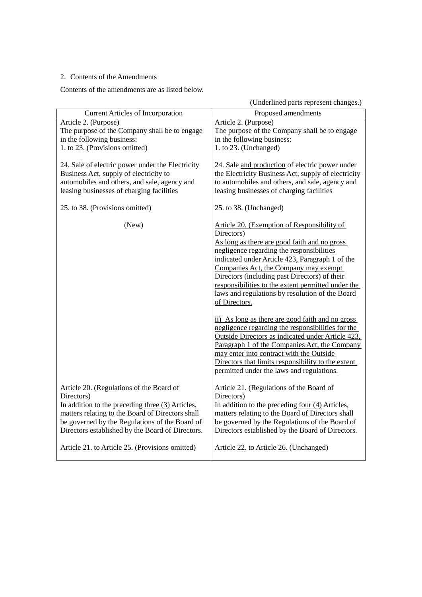## 2. Contents of the Amendments

Contents of the amendments are as listed below.

(Underlined parts represent changes.)

| <b>Current Articles of Incorporation</b>                                                                                                                                                                                                                               | Proposed amendments                                                                                                                                                                                                                                                                                                                                                                                                                                                                                                                                                                                                                                                                                                                                                                         |
|------------------------------------------------------------------------------------------------------------------------------------------------------------------------------------------------------------------------------------------------------------------------|---------------------------------------------------------------------------------------------------------------------------------------------------------------------------------------------------------------------------------------------------------------------------------------------------------------------------------------------------------------------------------------------------------------------------------------------------------------------------------------------------------------------------------------------------------------------------------------------------------------------------------------------------------------------------------------------------------------------------------------------------------------------------------------------|
| Article 2. (Purpose)                                                                                                                                                                                                                                                   | Article 2. (Purpose)                                                                                                                                                                                                                                                                                                                                                                                                                                                                                                                                                                                                                                                                                                                                                                        |
| The purpose of the Company shall be to engage                                                                                                                                                                                                                          | The purpose of the Company shall be to engage                                                                                                                                                                                                                                                                                                                                                                                                                                                                                                                                                                                                                                                                                                                                               |
| in the following business:                                                                                                                                                                                                                                             | in the following business:                                                                                                                                                                                                                                                                                                                                                                                                                                                                                                                                                                                                                                                                                                                                                                  |
| 1. to 23. (Provisions omitted)                                                                                                                                                                                                                                         | 1. to 23. (Unchanged)                                                                                                                                                                                                                                                                                                                                                                                                                                                                                                                                                                                                                                                                                                                                                                       |
| 24. Sale of electric power under the Electricity<br>Business Act, supply of electricity to<br>automobiles and others, and sale, agency and<br>leasing businesses of charging facilities                                                                                | 24. Sale and production of electric power under<br>the Electricity Business Act, supply of electricity<br>to automobiles and others, and sale, agency and<br>leasing businesses of charging facilities                                                                                                                                                                                                                                                                                                                                                                                                                                                                                                                                                                                      |
| 25. to 38. (Provisions omitted)                                                                                                                                                                                                                                        | 25. to 38. (Unchanged)                                                                                                                                                                                                                                                                                                                                                                                                                                                                                                                                                                                                                                                                                                                                                                      |
| (New)                                                                                                                                                                                                                                                                  | Article 20. (Exemption of Responsibility of<br>Directors)<br>As long as there are good faith and no gross<br>negligence regarding the responsibilities<br>indicated under Article 423, Paragraph 1 of the<br>Companies Act, the Company may exempt<br>Directors (including past Directors) of their<br>responsibilities to the extent permitted under the<br>laws and regulations by resolution of the Board<br>of Directors.<br>ii) As long as there are good faith and no gross<br>negligence regarding the responsibilities for the<br>Outside Directors as indicated under Article 423,<br>Paragraph 1 of the Companies Act, the Company<br>may enter into contract with the Outside<br>Directors that limits responsibility to the extent<br>permitted under the laws and regulations. |
| Article 20. (Regulations of the Board of<br>Directors)<br>In addition to the preceding three $(3)$ Articles,<br>matters relating to the Board of Directors shall<br>be governed by the Regulations of the Board of<br>Directors established by the Board of Directors. | Article 21. (Regulations of the Board of<br>Directors)<br>In addition to the preceding <u>four <math>(4)</math></u> Articles,<br>matters relating to the Board of Directors shall<br>be governed by the Regulations of the Board of<br>Directors established by the Board of Directors.                                                                                                                                                                                                                                                                                                                                                                                                                                                                                                     |
| Article 21. to Article 25. (Provisions omitted)                                                                                                                                                                                                                        | Article 22. to Article 26. (Unchanged)                                                                                                                                                                                                                                                                                                                                                                                                                                                                                                                                                                                                                                                                                                                                                      |